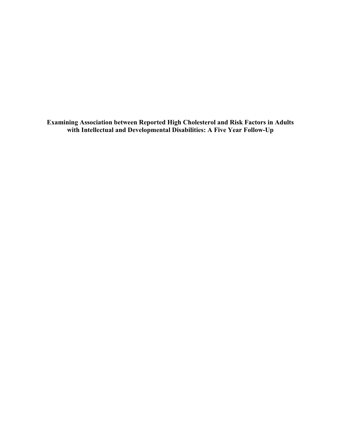**Examining Association between Reported High Cholesterol and Risk Factors in Adults with Intellectual and Developmental Disabilities: A Five Year Follow-Up**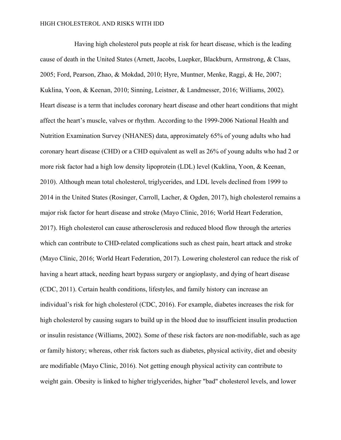Having high cholesterol puts people at risk for heart disease, which is the leading cause of death in the United States (Arnett, Jacobs, Luepker, Blackburn, Armstrong, & Claas, 2005; Ford, Pearson, Zhao, & Mokdad, 2010; Hyre, Muntner, Menke, Raggi, & He, 2007; Kuklina, Yoon, & Keenan, 2010; Sinning, Leistner, & Landmesser, 2016; Williams, 2002). Heart disease is a term that includes coronary heart disease and other heart conditions that might affect the heart's muscle, valves or rhythm. According to the 1999-2006 National Health and Nutrition Examination Survey (NHANES) data, approximately 65% of young adults who had coronary heart disease (CHD) or a CHD equivalent as well as 26% of young adults who had 2 or more risk factor had a high low density lipoprotein (LDL) level (Kuklina, Yoon, & Keenan, 2010). Although mean total cholesterol, triglycerides, and LDL levels declined from 1999 to 2014 in the United States (Rosinger, Carroll, Lacher, & Ogden, 2017), high cholesterol remains a major risk factor for heart disease and stroke (Mayo Clinic, 2016; World Heart Federation, 2017). High cholesterol can cause atherosclerosis and reduced blood flow through the arteries which can contribute to CHD-related complications such as chest pain, heart attack and stroke (Mayo Clinic, 2016; World Heart Federation, 2017). Lowering cholesterol can reduce the risk of having a heart attack, needing heart bypass surgery or angioplasty, and dying of heart disease (CDC, 2011). Certain health conditions, lifestyles, and family history can increase an individual's risk for high cholesterol (CDC, 2016). For example, diabetes increases the risk for high cholesterol by causing sugars to build up in the blood due to insufficient insulin production or insulin resistance (Williams, 2002). Some of these risk factors are non-modifiable, such as age or family history; whereas, other risk factors such as diabetes, physical activity, diet and obesity are modifiable (Mayo Clinic, 2016). Not getting enough physical activity can contribute to weight gain. Obesity is linked to higher triglycerides, higher "bad" cholesterol levels, and lower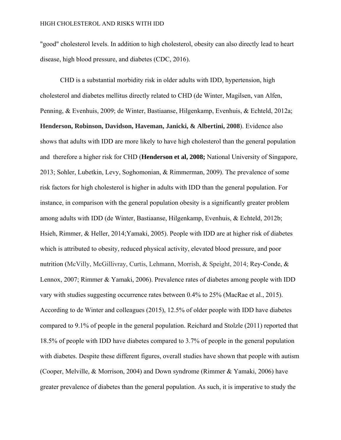"good" cholesterol levels. In addition to high cholesterol, obesity can also directly lead to heart disease, high blood pressure, and diabetes (CDC, 2016).

CHD is a substantial morbidity risk in older adults with IDD, hypertension, high cholesterol and diabetes mellitus directly related to CHD (de Winter, Magilsen, van Alfen, Penning, & Evenhuis, 2009; de Winter, Bastiaanse, Hilgenkamp, Evenhuis, & Echteld, 2012a; **Henderson, Robinson, Davidson, Haveman, Janicki, & Albertini, 2008**). Evidence also shows that adults with IDD are more likely to have high cholesterol than the general population and therefore a higher risk for CHD (**Henderson et al, 2008;** National University of Singapore, 2013; Sohler, Lubetkin, Levy, Soghomonian, & Rimmerman, 2009). The prevalence of some risk factors for high cholesterol is higher in adults with IDD than the general population. For instance, in comparison with the general population obesity is a significantly greater problem among adults with IDD (de Winter, Bastiaanse, Hilgenkamp, Evenhuis, & Echteld, 2012b; Hsieh, Rimmer, & Heller, 2014;Yamaki, 2005). People with IDD are at higher risk of diabetes which is attributed to obesity, reduced physical activity, elevated blood pressure, and poor nutrition (McVilly, McGillivray, Curtis, Lehmann, Morrish, & Speight, 2014; Rey-Conde, & Lennox, 2007; Rimmer & Yamaki, 2006). Prevalence rates of diabetes among people with IDD vary with studies suggesting occurrence rates between 0.4% to 25% (MacRae et al., 2015). According to de Winter and colleagues (2015), 12.5% of older people with IDD have diabetes compared to 9.1% of people in the general population. Reichard and Stolzle (2011) reported that 18.5% of people with IDD have diabetes compared to 3.7% of people in the general population with diabetes. Despite these different figures, overall studies have shown that people with autism (Cooper, Melville, & Morrison, 2004) and Down syndrome (Rimmer & Yamaki, 2006) have greater prevalence of diabetes than the general population. As such, it is imperative to study the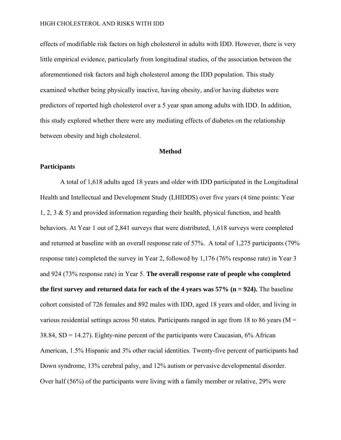effects of modifiable risk factors on high cholesterol in adults with IDD. However, there is very little empirical evidence, particularly from longitudinal studies, of the association between the aforementioned risk factors and high cholesterol among the IDD population. This study examined whether being physically inactive, having obesity, and/or having diabetes were predictors of reported high cholesterol over a 5 year span among adults with IDD. In addition, this study explored whether there were any mediating effects of diabetes on the relationship between obesity and high cholesterol.

## **Method**

## **Participants**

A total of 1,618 adults aged 18 years and older with IDD participated in the Longitudinal Health and Intellectual and Development Study (LHIDDS) over five years (4 time points: Year 1, 2, 3 & 5) and provided information regarding their health, physical function, and health behaviors. At Year 1 out of 2,841 surveys that were distributed, 1,618 surveys were completed and returned at baseline with an overall response rate of 57%. A total of 1,275 participants (79% response rate) completed the survey in Year 2, followed by 1,176 (76% response rate) in Year 3 and 924 (73% response rate) in Year 5. **The overall response rate of people who completed**  the first survey and returned data for each of the 4 years was  $57\%$  ( $n = 924$ ). The baseline cohort consisted of 726 females and 892 males with IDD, aged 18 years and older, and living in various residential settings across 50 states. Participants ranged in age from 18 to 86 years ( $M =$ 38.84, SD = 14.27). Eighty-nine percent of the participants were Caucasian, 6% African American, 1.5% Hispanic and 3% other racial identities. Twenty-five percent of participants had Down syndrome, 13% cerebral palsy, and 12% autism or pervasive developmental disorder. Over half (56%) of the participants were living with a family member or relative, 29% were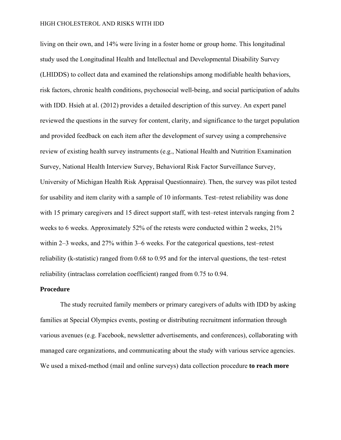living on their own, and 14% were living in a foster home or group home. This longitudinal study used the Longitudinal Health and Intellectual and Developmental Disability Survey (LHIDDS) to collect data and examined the relationships among modifiable health behaviors, risk factors, chronic health conditions, psychosocial well-being, and social participation of adults with IDD. Hsieh at al. (2012) provides a detailed description of this survey. An expert panel reviewed the questions in the survey for content, clarity, and significance to the target population and provided feedback on each item after the development of survey using a comprehensive review of existing health survey instruments (e.g., National Health and Nutrition Examination Survey, National Health Interview Survey, Behavioral Risk Factor Surveillance Survey, University of Michigan Health Risk Appraisal Questionnaire). Then, the survey was pilot tested for usability and item clarity with a sample of 10 informants. Test–retest reliability was done with 15 primary caregivers and 15 direct support staff, with test–retest intervals ranging from 2 weeks to 6 weeks. Approximately 52% of the retests were conducted within 2 weeks, 21% within 2–3 weeks, and 27% within 3–6 weeks. For the categorical questions, test–retest reliability (k-statistic) ranged from 0.68 to 0.95 and for the interval questions, the test–retest reliability (intraclass correlation coefficient) ranged from 0.75 to 0.94.

## **Procedure**

The study recruited family members or primary caregivers of adults with IDD by asking families at Special Olympics events, posting or distributing recruitment information through various avenues (e.g. Facebook, newsletter advertisements, and conferences), collaborating with managed care organizations, and communicating about the study with various service agencies. We used a mixed-method (mail and online surveys) data collection procedure **to reach more**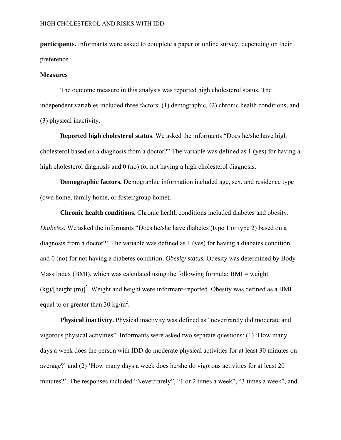**participants.** Informants were asked to complete a paper or online survey, depending on their preference.

## **Measures**

The outcome measure in this analysis was reported high cholesterol status. The independent variables included three factors: (1) demographic, (2) chronic health conditions, and (3) physical inactivity.

**Reported high cholesterol status**. We asked the informants "Does he/she have high cholesterol based on a diagnosis from a doctor?" The variable was defined as 1 (yes) for having a high cholesterol diagnosis and 0 (no) for not having a high cholesterol diagnosis.

**Demographic factors.** Demographic information included age, sex, and residence type (own home, family home, or foster/group home).

**Chronic health conditions.** Chronic health conditions included diabetes and obesity. *Diabetes.* We asked the informants "Does he/she have diabetes (type 1 or type 2) based on a diagnosis from a doctor?" The variable was defined as 1 (yes) for having a diabetes condition and 0 (no) for not having a diabetes condition. *Obesity status.* Obesity was determined by Body Mass Index (BMI), which was calculated using the following formula: BMI = weight  $(kg)/[\text{height (m)}]^2$ . Weight and height were informant-reported. Obesity was defined as a BMI equal to or greater than 30 kg/m<sup>2</sup>.

**Physical inactivity.** Physical inactivity was defined as "never/rarely did moderate and vigorous physical activities". Informants were asked two separate questions: (1) 'How many days a week does the person with IDD do moderate physical activities for at least 30 minutes on average?' and (2) 'How many days a week does he/she do vigorous activities for at least 20 minutes?'. The responses included "Never/rarely", "1 or 2 times a week", "3 times a week", and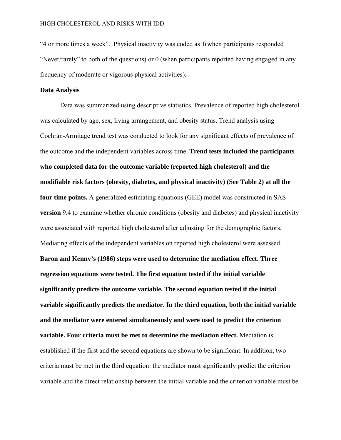"4 or more times a week". Physical inactivity was coded as 1(when participants responded "Never/rarely" to both of the questions) or 0 (when participants reported having engaged in any frequency of moderate or vigorous physical activities).

# **Data Analysis**

Data was summarized using descriptive statistics. Prevalence of reported high cholesterol was calculated by age, sex, living arrangement, and obesity status. Trend analysis using Cochran-Armitage trend test was conducted to look for any significant effects of prevalence of the outcome and the independent variables across time. **Trend tests included the participants who completed data for the outcome variable (reported high cholesterol) and the modifiable risk factors (obesity, diabetes, and physical inactivity) (See Table 2) at all the four time points.** A generalized estimating equations (GEE) model was constructed in SAS **version** 9.4 to examine whether chronic conditions (obesity and diabetes) and physical inactivity were associated with reported high cholesterol after adjusting for the demographic factors. Mediating effects of the independent variables on reported high cholesterol were assessed. **Baron and Kenny's (1986) steps were used to determine the mediation effect. Three regression equations were tested. The first equation tested if the initial variable significantly predicts the outcome variable. The second equation tested if the initial variable significantly predicts the mediator. In the third equation, both the initial variable and the mediator were entered simultaneously and were used to predict the criterion variable. Four criteria must be met to determine the mediation effect.** Mediation is established if the first and the second equations are shown to be significant. In addition, two criteria must be met in the third equation: the mediator must significantly predict the criterion variable and the direct relationship between the initial variable and the criterion variable must be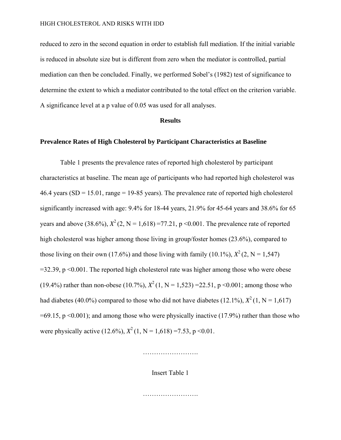reduced to zero in the second equation in order to establish full mediation. If the initial variable is reduced in absolute size but is different from zero when the mediator is controlled, partial mediation can then be concluded. Finally, we performed Sobel's (1982) test of significance to determine the extent to which a mediator contributed to the total effect on the criterion variable. A significance level at a p value of 0.05 was used for all analyses.

### **Results**

# **Prevalence Rates of High Cholesterol by Participant Characteristics at Baseline**

Table 1 presents the prevalence rates of reported high cholesterol by participant characteristics at baseline. The mean age of participants who had reported high cholesterol was 46.4 years  $(SD = 15.01$ , range = 19-85 years). The prevalence rate of reported high cholesterol significantly increased with age: 9.4% for 18-44 years, 21.9% for 45-64 years and 38.6% for 65 years and above (38.6%),  $X^2$  (2, N = 1,618) =77.21, p < 0.001. The prevalence rate of reported high cholesterol was higher among those living in group/foster homes (23.6%), compared to those living on their own (17.6%) and those living with family (10.1%),  $X^2$  (2, N = 1.547)  $=$ 32.39, p <0.001. The reported high cholesterol rate was higher among those who were obese (19.4%) rather than non-obese (10.7%),  $X^2$  (1, N = 1.523) =22.51, p < 0.001; among those who had diabetes (40.0%) compared to those who did not have diabetes (12.1%),  $X^2$  (1, N = 1,617)  $=69.15$ , p  $\leq 0.001$ ); and among those who were physically inactive (17.9%) rather than those who were physically active (12.6%),  $X^2$  (1, N = 1,618) =7.53, p <0.01.

…………………….

Insert Table 1

…………………….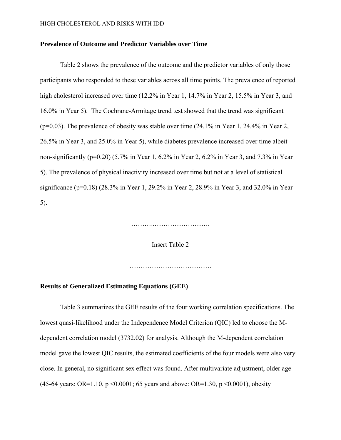# **Prevalence of Outcome and Predictor Variables over Time**

Table 2 shows the prevalence of the outcome and the predictor variables of only those participants who responded to these variables across all time points. The prevalence of reported high cholesterol increased over time (12.2% in Year 1, 14.7% in Year 2, 15.5% in Year 3, and 16.0% in Year 5). The Cochrane-Armitage trend test showed that the trend was significant (p=0.03). The prevalence of obesity was stable over time (24.1% in Year 1, 24.4% in Year 2, 26.5% in Year 3, and 25.0% in Year 5), while diabetes prevalence increased over time albeit non-significantly (p=0.20) (5.7% in Year 1, 6.2% in Year 2, 6.2% in Year 3, and 7.3% in Year 5). The prevalence of physical inactivity increased over time but not at a level of statistical significance (p=0.18) (28.3% in Year 1, 29.2% in Year 2, 28.9% in Year 3, and 32.0% in Year 5).

……………………………………………

Insert Table 2

……………………………………………

## **Results of Generalized Estimating Equations (GEE)**

Table 3 summarizes the GEE results of the four working correlation specifications. The lowest quasi-likelihood under the Independence Model Criterion (QIC) led to choose the Mdependent correlation model (3732.02) for analysis. Although the M-dependent correlation model gave the lowest QIC results, the estimated coefficients of the four models were also very close. In general, no significant sex effect was found. After multivariate adjustment, older age (45-64 years: OR=1.10, p <0.0001; 65 years and above: OR=1.30, p <0.0001), obesity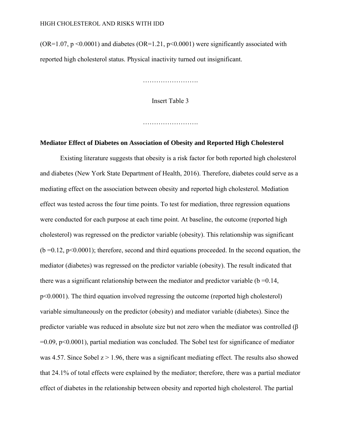(OR=1.07,  $p \le 0.0001$ ) and diabetes (OR=1.21,  $p \le 0.0001$ ) were significantly associated with reported high cholesterol status. Physical inactivity turned out insignificant.

………………………

Insert Table 3

…………………….

## **Mediator Effect of Diabetes on Association of Obesity and Reported High Cholesterol**

Existing literature suggests that obesity is a risk factor for both reported high cholesterol and diabetes (New York State Department of Health, 2016). Therefore, diabetes could serve as a mediating effect on the association between obesity and reported high cholesterol. Mediation effect was tested across the four time points. To test for mediation, three regression equations were conducted for each purpose at each time point. At baseline, the outcome (reported high cholesterol) was regressed on the predictor variable (obesity). This relationship was significant  $(b=0.12, p<0.0001)$ ; therefore, second and third equations proceeded. In the second equation, the mediator (diabetes) was regressed on the predictor variable (obesity). The result indicated that there was a significant relationship between the mediator and predictor variable ( $b = 0.14$ , p<0.0001). The third equation involved regressing the outcome (reported high cholesterol) variable simultaneously on the predictor (obesity) and mediator variable (diabetes). Since the predictor variable was reduced in absolute size but not zero when the mediator was controlled (β  $=0.09$ ,  $p<0.0001$ ), partial mediation was concluded. The Sobel test for significance of mediator was 4.57. Since Sobel  $z > 1.96$ , there was a significant mediating effect. The results also showed that 24.1% of total effects were explained by the mediator; therefore, there was a partial mediator effect of diabetes in the relationship between obesity and reported high cholesterol. The partial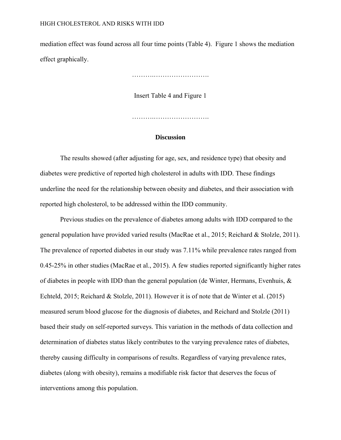mediation effect was found across all four time points (Table 4). Figure 1 shows the mediation effect graphically.

……….…………………….

Insert Table 4 and Figure 1

……………………………………

## **Discussion**

The results showed (after adjusting for age, sex, and residence type) that obesity and diabetes were predictive of reported high cholesterol in adults with IDD. These findings underline the need for the relationship between obesity and diabetes, and their association with reported high cholesterol, to be addressed within the IDD community.

Previous studies on the prevalence of diabetes among adults with IDD compared to the general population have provided varied results (MacRae et al., 2015; Reichard & Stolzle, 2011). The prevalence of reported diabetes in our study was 7.11% while prevalence rates ranged from 0.45-25% in other studies (MacRae et al., 2015). A few studies reported significantly higher rates of diabetes in people with IDD than the general population (de Winter, Hermans, Evenhuis, & Echteld, 2015; Reichard & Stolzle, 2011). However it is of note that de Winter et al. (2015) measured serum blood glucose for the diagnosis of diabetes, and Reichard and Stolzle (2011) based their study on self-reported surveys. This variation in the methods of data collection and determination of diabetes status likely contributes to the varying prevalence rates of diabetes, thereby causing difficulty in comparisons of results. Regardless of varying prevalence rates, diabetes (along with obesity), remains a modifiable risk factor that deserves the focus of interventions among this population.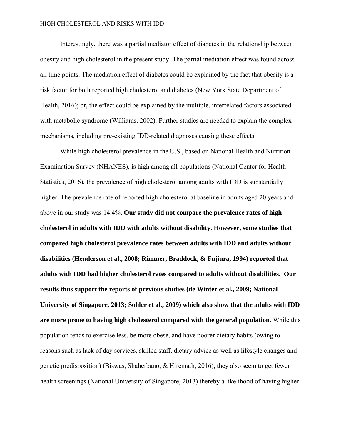Interestingly, there was a partial mediator effect of diabetes in the relationship between obesity and high cholesterol in the present study. The partial mediation effect was found across all time points. The mediation effect of diabetes could be explained by the fact that obesity is a risk factor for both reported high cholesterol and diabetes (New York State Department of Health, 2016); or, the effect could be explained by the multiple, interrelated factors associated with metabolic syndrome (Williams, 2002). Further studies are needed to explain the complex mechanisms, including pre-existing IDD-related diagnoses causing these effects.

While high cholesterol prevalence in the U.S., based on National Health and Nutrition Examination Survey (NHANES), is high among all populations (National Center for Health Statistics, 2016), the prevalence of high cholesterol among adults with IDD is substantially higher. The prevalence rate of reported high cholesterol at baseline in adults aged 20 years and above in our study was 14.4%. **Our study did not compare the prevalence rates of high cholesterol in adults with IDD with adults without disability. However, some studies that compared high cholesterol prevalence rates between adults with IDD and adults without disabilities (Henderson et al., 2008; Rimmer, Braddock, & Fujiura, 1994) reported that adults with IDD had higher cholesterol rates compared to adults without disabilities. Our results thus support the reports of previous studies (de Winter et al., 2009; National University of Singapore, 2013; Sohler et al., 2009) which also show that the adults with IDD are more prone to having high cholesterol compared with the general population.** While this population tends to exercise less, be more obese, and have poorer dietary habits (owing to reasons such as lack of day services, skilled staff, dietary advice as well as lifestyle changes and genetic predisposition) (Biswas, Shaherbano, & Hiremath, 2016), they also seem to get fewer health screenings (National University of Singapore, 2013) thereby a likelihood of having higher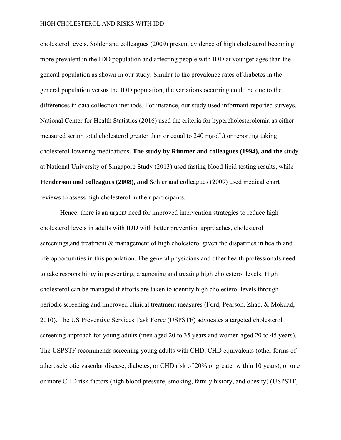cholesterol levels. Sohler and colleagues (2009) present evidence of high cholesterol becoming more prevalent in the IDD population and affecting people with IDD at younger ages than the general population as shown in our study. Similar to the prevalence rates of diabetes in the general population versus the IDD population, the variations occurring could be due to the differences in data collection methods. For instance, our study used informant-reported surveys. National Center for Health Statistics (2016) used the criteria for hypercholesterolemia as either measured serum total cholesterol greater than or equal to 240 mg/dL) or reporting taking cholesterol-lowering medications. **The study by Rimmer and colleagues (1994), and the** study at National University of Singapore Study (2013) used fasting blood lipid testing results, while **Henderson and colleagues (2008), and** Sohler and colleagues (2009) used medical chart reviews to assess high cholesterol in their participants.

Hence, there is an urgent need for improved intervention strategies to reduce high cholesterol levels in adults with IDD with better prevention approaches, cholesterol screenings, and treatment  $\&$  management of high cholesterol given the disparities in health and life opportunities in this population. The general physicians and other health professionals need to take responsibility in preventing, diagnosing and treating high cholesterol levels. High cholesterol can be managed if efforts are taken to identify high cholesterol levels through periodic screening and improved clinical treatment measures (Ford, Pearson, Zhao, & Mokdad, 2010). The US Preventive Services Task Force (USPSTF) advocates a targeted cholesterol screening approach for young adults (men aged 20 to 35 years and women aged 20 to 45 years). The USPSTF recommends screening young adults with CHD, CHD equivalents (other forms of atherosclerotic vascular disease, diabetes, or CHD risk of 20% or greater within 10 years), or one or more CHD risk factors (high blood pressure, smoking, family history, and obesity) (USPSTF,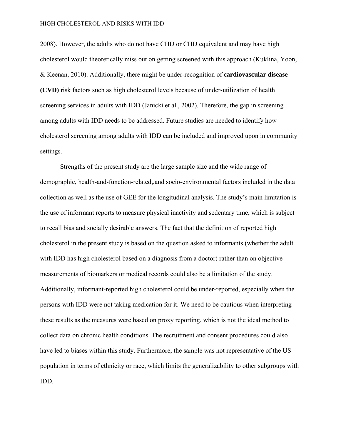2008). However, the adults who do not have CHD or CHD equivalent and may have high cholesterol would theoretically miss out on getting screened with this approach (Kuklina, Yoon, & Keenan, 2010). Additionally, there might be under-recognition of **cardiovascular disease (CVD)** risk factors such as high cholesterol levels because of under-utilization of health screening services in adults with IDD (Janicki et al., 2002). Therefore, the gap in screening among adults with IDD needs to be addressed. Future studies are needed to identify how cholesterol screening among adults with IDD can be included and improved upon in community settings.

Strengths of the present study are the large sample size and the wide range of demographic, health-and-function-related,,and socio-environmental factors included in the data collection as well as the use of GEE for the longitudinal analysis. The study's main limitation is the use of informant reports to measure physical inactivity and sedentary time, which is subject to recall bias and socially desirable answers. The fact that the definition of reported high cholesterol in the present study is based on the question asked to informants (whether the adult with IDD has high cholesterol based on a diagnosis from a doctor) rather than on objective measurements of biomarkers or medical records could also be a limitation of the study. Additionally, informant-reported high cholesterol could be under-reported, especially when the persons with IDD were not taking medication for it. We need to be cautious when interpreting these results as the measures were based on proxy reporting, which is not the ideal method to collect data on chronic health conditions. The recruitment and consent procedures could also have led to biases within this study. Furthermore, the sample was not representative of the US population in terms of ethnicity or race, which limits the generalizability to other subgroups with IDD.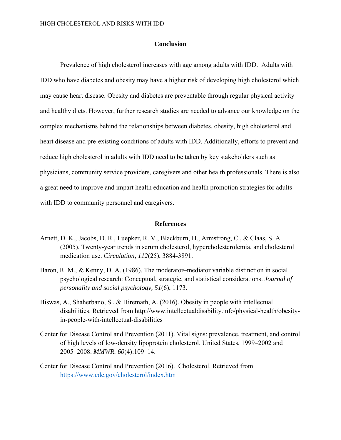# **Conclusion**

Prevalence of high cholesterol increases with age among adults with IDD. Adults with IDD who have diabetes and obesity may have a higher risk of developing high cholesterol which may cause heart disease. Obesity and diabetes are preventable through regular physical activity and healthy diets. However, further research studies are needed to advance our knowledge on the complex mechanisms behind the relationships between diabetes, obesity, high cholesterol and heart disease and pre-existing conditions of adults with IDD. Additionally, efforts to prevent and reduce high cholesterol in adults with IDD need to be taken by key stakeholders such as physicians, community service providers, caregivers and other health professionals. There is also a great need to improve and impart health education and health promotion strategies for adults with IDD to community personnel and caregivers.

## **References**

- Arnett, D. K., Jacobs, D. R., Luepker, R. V., Blackburn, H., Armstrong, C., & Claas, S. A. (2005). Twenty-year trends in serum cholesterol, hypercholesterolemia, and cholesterol medication use. *Circulation, 112*(25), 3884-3891.
- Baron, R. M., & Kenny, D. A. (1986). The moderator–mediator variable distinction in social psychological research: Conceptual, strategic, and statistical considerations. *Journal of personality and social psychology, 51*(6), 1173.
- Biswas, A., Shaherbano, S., & Hiremath, A. (2016). Obesity in people with intellectual disabilities. Retrieved from http://www.intellectualdisability.info/physical-health/obesityin-people-with-intellectual-disabilities
- Center for Disease Control and Prevention (2011). Vital signs: prevalence, treatment, and control of high levels of low-density lipoprotein cholesterol. United States, 1999–2002 and 2005–2008. *MMWR. 60*(4):109–14.
- Center for Disease Control and Prevention (2016). Cholesterol. Retrieved from https://www.cdc.gov/cholesterol/index.htm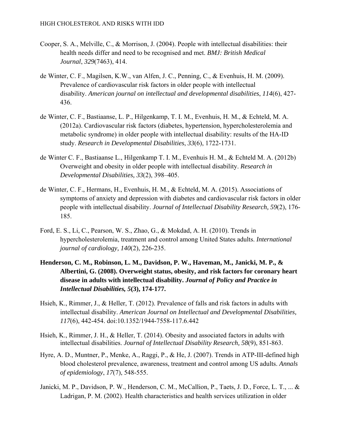- Cooper, S. A., Melville, C., & Morrison, J. (2004). People with intellectual disabilities: their health needs differ and need to be recognised and met. *BMJ: British Medical Journal*, *329*(7463), 414.
- de Winter, C. F., Magilsen, K.W., van Alfen, J. C., Penning, C., & Evenhuis, H. M. (2009). Prevalence of cardiovascular risk factors in older people with intellectual disability. *American journal on intellectual and developmental disabilities*, *114*(6), 427- 436.
- de Winter, C. F., Bastiaanse, L. P., Hilgenkamp, T. I. M., Evenhuis, H. M., & Echteld, M. A. (2012a). Cardiovascular risk factors (diabetes, hypertension, hypercholesterolemia and metabolic syndrome) in older people with intellectual disability: results of the HA-ID study. *Research in Developmental Disabilities*, *33*(6), 1722-1731.
- de Winter C. F., Bastiaanse L., Hilgenkamp T. I. M., Evenhuis H. M., & Echteld M. A. (2012b) Overweight and obesity in older people with intellectual disability. *Research in Developmental Disabilities, 33*(2), 398–405.
- de Winter, C. F., Hermans, H., Evenhuis, H. M., & Echteld, M. A. (2015). Associations of symptoms of anxiety and depression with diabetes and cardiovascular risk factors in older people with intellectual disability. *Journal of Intellectual Disability Research, 59*(2), 176- 185.
- Ford, E. S., Li, C., Pearson, W. S., Zhao, G., & Mokdad, A. H. (2010). Trends in hypercholesterolemia, treatment and control among United States adults. *International journal of cardiology, 140*(2), 226-235.
- **Henderson, C. M., Robinson, L. M., Davidson, P. W., Haveman, M., Janicki, M. P., & Albertini, G. (2008). Overweight status, obesity, and risk factors for coronary heart disease in adults with intellectual disability.** *Journal of Policy and Practice in Intellectual Disabilities, 5***(3), 174-177.**
- Hsieh, K., Rimmer, J., & Heller, T. (2012). Prevalence of falls and risk factors in adults with intellectual disability. *American Journal on Intellectual and Developmental Disabilities, 117*(6), 442-454. doi:10.1352/1944-7558-117.6.442
- Hsieh, K., Rimmer, J. H., & Heller, T. (2014). Obesity and associated factors in adults with intellectual disabilities. *Journal of Intellectual Disability Research, 58*(9), 851-863.
- Hyre, A. D., Muntner, P., Menke, A., Raggi, P., & He, J. (2007). Trends in ATP-III-defined high blood cholesterol prevalence, awareness, treatment and control among US adults. *Annals of epidemiology*, *17*(7), 548-555.
- Janicki, M. P., Davidson, P. W., Henderson, C. M., McCallion, P., Taets, J. D., Force, L. T., ... & Ladrigan, P. M. (2002). Health characteristics and health services utilization in older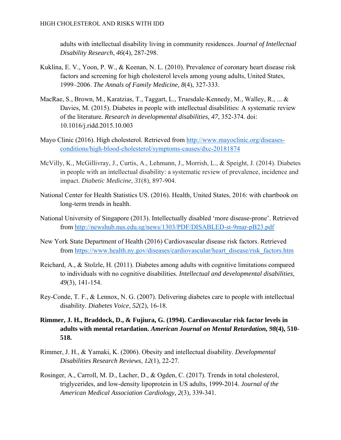adults with intellectual disability living in community residences. *Journal of Intellectual Disability Research*, *46*(4), 287-298.

- Kuklina, E. V., Yoon, P. W., & Keenan, N. L. (2010). Prevalence of coronary heart disease risk factors and screening for high cholesterol levels among young adults, United States, 1999–2006. *The Annals of Family Medicine, 8*(4), 327-333.
- MacRae, S., Brown, M., Karatzias, T., Taggart, L., Truesdale-Kennedy, M., Walley, R., ... & Davies, M. (2015). Diabetes in people with intellectual disabilities: A systematic review of the literature. *Research in developmental disabilities, 47*, 352-374. doi: 10.1016/j.ridd.2015.10.003
- Mayo Clinic (2016). High cholesterol. Retrieved from http://www.mayoclinic.org/diseasesconditions/high-blood-cholesterol/symptoms-causes/dxc-20181874
- McVilly, K., McGillivray, J., Curtis, A., Lehmann, J., Morrish, L., & Speight, J. (2014). Diabetes in people with an intellectual disability: a systematic review of prevalence, incidence and impact. *Diabetic Medicine*, *31*(8), 897-904.
- National Center for Health Statistics US. (2016). Health, United States, 2016: with chartbook on long-term trends in health.
- National University of Singapore (2013). Intellectually disabled 'more disease-prone'. Retrieved from http://newshub.nus.edu.sg/news/1303/PDF/DISABLED-st-9mar-pB23.pdf
- New York State Department of Health (2016) Cardiovascular disease risk factors. Retrieved from https://www.health.ny.gov/diseases/cardiovascular/heart\_disease/risk\_factors.htm
- Reichard, A., & Stolzle, H. (2011). Diabetes among adults with cognitive limitations compared to individuals with no cognitive disabilities. *Intellectual and developmental disabilities, 49*(3), 141-154.
- Rey-Conde, T. F., & Lennox, N. G. (2007). Delivering diabetes care to people with intellectual disability. *Diabetes Voice*, *52*(2), 16-18.
- **Rimmer, J. H., Braddock, D., & Fujiura, G. (1994). Cardiovascular risk factor levels in adults with mental retardation.** *American Journal on Mental Retardation, 98***(4), 510- 518.**
- Rimmer, J. H., & Yamaki, K. (2006). Obesity and intellectual disability. *Developmental Disabilities Research Reviews*, *12*(1), 22-27.
- Rosinger, A., Carroll, M. D., Lacher, D., & Ogden, C. (2017). Trends in total cholesterol, triglycerides, and low-density lipoprotein in US adults, 1999-2014. *Journal of the American Medical Association Cardiology, 2*(3), 339-341.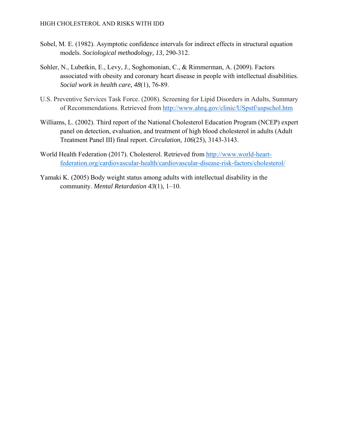- Sobel, M. E. (1982). Asymptotic confidence intervals for indirect effects in structural equation models. *Sociological methodology, 13*, 290-312.
- Sohler, N., Lubetkin, E., Levy, J., Soghomonian, C., & Rimmerman, A. (2009). Factors associated with obesity and coronary heart disease in people with intellectual disabilities. *Social work in health care, 48*(1), 76-89.
- U.S. Preventive Services Task Force. (2008). Screening for Lipid Disorders in Adults, Summary of Recommendations. Retrieved from http://www.ahrq.gov/clinic/USpstf/uspschol.htm
- Williams, L. (2002). Third report of the National Cholesterol Education Program (NCEP) expert panel on detection, evaluation, and treatment of high blood cholesterol in adults (Adult Treatment Panel III) final report. *Circulation, 106*(25), 3143-3143.
- World Health Federation (2017). Cholesterol. Retrieved from http://www.world-heartfederation.org/cardiovascular-health/cardiovascular-disease-risk-factors/cholesterol/
- Yamaki K. (2005) Body weight status among adults with intellectual disability in the community. *Mental Retardation 43*(1), 1–10.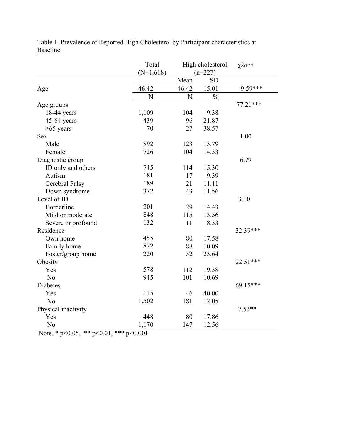|                     | Total<br>$(N=1,618)$ | High cholesterol<br>$(n=227)$ |               | $\chi$ 2ort |
|---------------------|----------------------|-------------------------------|---------------|-------------|
|                     |                      | Mean                          | <b>SD</b>     |             |
| Age                 | 46.42                | 46.42                         | 15.01         | $-9.59***$  |
|                     | N                    | N                             | $\frac{0}{0}$ |             |
| Age groups          |                      |                               |               | $77.21***$  |
| $18-44$ years       | 1,109                | 104                           | 9.38          |             |
| $45-64$ years       | 439                  | 96                            | 21.87         |             |
| $\geq 65$ years     | 70                   | 27                            | 38.57         |             |
| <b>Sex</b>          |                      |                               |               | 1.00        |
| Male                | 892                  | 123                           | 13.79         |             |
| Female              | 726                  | 104                           | 14.33         |             |
| Diagnostic group    |                      |                               |               | 6.79        |
| ID only and others  | 745                  | 114                           | 15.30         |             |
| Autism              | 181                  | 17                            | 9.39          |             |
| Cerebral Palsy      | 189                  | 21                            | 11.11         |             |
| Down syndrome       | 372                  | 43                            | 11.56         |             |
| Level of ID         |                      |                               |               | 3.10        |
| Borderline          | 201                  | 29                            | 14.43         |             |
| Mild or moderate    | 848                  | 115                           | 13.56         |             |
| Severe or profound  | 132                  | 11                            | 8.33          |             |
| Residence           |                      |                               |               | 32.39***    |
| Own home            | 455                  | 80                            | 17.58         |             |
| Family home         | 872                  | 88                            | 10.09         |             |
| Foster/group home   | 220                  | 52                            | 23.64         |             |
| Obesity             |                      |                               |               | 22.51***    |
| Yes                 | 578                  | 112                           | 19.38         |             |
| N <sub>0</sub>      | 945                  | 101                           | 10.69         |             |
| Diabetes            |                      |                               |               | 69.15***    |
| Yes                 | 115                  | 46                            | 40.00         |             |
| N <sub>0</sub>      | 1,502                | 181                           | 12.05         |             |
| Physical inactivity |                      |                               |               | $7.53**$    |
| Yes                 | 448                  | 80                            | 17.86         |             |
| No                  | 1,170                | 147                           | 12.56         |             |

Table 1. Prevalence of Reported High Cholesterol by Participant characteristics at Baseline

Note. \* p<0.05, \*\* p<0.01, \*\*\* p<0.001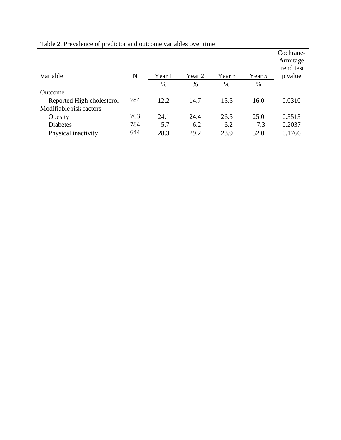| Variable                  | N   | Year 1 | Year 2 | Year 3 | Year 5 | Cochrane-<br>Armitage<br>trend test<br>p value |
|---------------------------|-----|--------|--------|--------|--------|------------------------------------------------|
|                           |     | $\%$   | %      | $\%$   | $\%$   |                                                |
| Outcome                   |     |        |        |        |        |                                                |
| Reported High cholesterol | 784 | 12.2   | 14.7   | 15.5   | 16.0   | 0.0310                                         |
| Modifiable risk factors   |     |        |        |        |        |                                                |
| Obesity                   | 703 | 24.1   | 24.4   | 26.5   | 25.0   | 0.3513                                         |
| <b>Diabetes</b>           | 784 | 5.7    | 6.2    | 6.2    | 7.3    | 0.2037                                         |
| Physical inactivity       | 644 | 28.3   | 29.2   | 28.9   | 32.0   | 0.1766                                         |

Table 2. Prevalence of predictor and outcome variables over time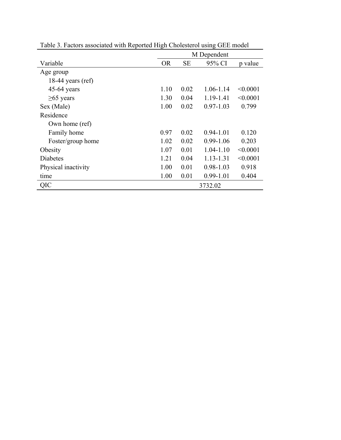| Table 3. Factors associated with Reported High Cholesterol using GEE model |             |           |               |          |  |
|----------------------------------------------------------------------------|-------------|-----------|---------------|----------|--|
|                                                                            | M Dependent |           |               |          |  |
| Variable                                                                   | <b>OR</b>   | <b>SE</b> | 95% CI        | p value  |  |
| Age group                                                                  |             |           |               |          |  |
| 18-44 years $(ref)$                                                        |             |           |               |          |  |
| $45-64$ years                                                              | 1.10        | 0.02      | 1.06-1.14     | < 0.0001 |  |
| $\geq 65$ years                                                            | 1.30        | 0.04      | 1.19-1.41     | < 0.0001 |  |
| Sex (Male)                                                                 | 1.00        | 0.02      | $0.97 - 1.03$ | 0.799    |  |
| Residence                                                                  |             |           |               |          |  |
| Own home (ref)                                                             |             |           |               |          |  |
| Family home                                                                | 0.97        | 0.02      | $0.94 - 1.01$ | 0.120    |  |
| Foster/group home                                                          | 1.02        | 0.02      | $0.99 - 1.06$ | 0.203    |  |
| Obesity                                                                    | 1.07        | 0.01      | $1.04 - 1.10$ | < 0.0001 |  |
| Diabetes                                                                   | 1.21        | 0.04      | $1.13 - 1.31$ | < 0.0001 |  |
| Physical inactivity                                                        | 1.00        | 0.01      | $0.98 - 1.03$ | 0.918    |  |
| time                                                                       | 1.00        | 0.01      | $0.99 - 1.01$ | 0.404    |  |
| QIC                                                                        |             |           | 3732.02       |          |  |

Table 3. Factors associated with Reported High Cholesterol using GEE model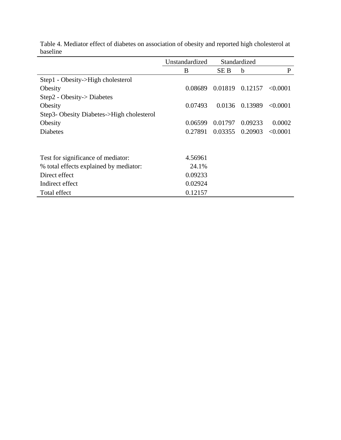| vasemie                                   |                |              |         |          |
|-------------------------------------------|----------------|--------------|---------|----------|
|                                           | Unstandardized | Standardized |         |          |
|                                           | B              | SE B         | b       | P        |
| Step1 - Obesity->High cholesterol         |                |              |         |          |
| Obesity                                   | 0.08689        | 0.01819      | 0.12157 | < 0.0001 |
| Step2 - Obesity-> Diabetes                |                |              |         |          |
| Obesity                                   | 0.07493        | 0.0136       | 0.13989 | < 0.0001 |
| Step3- Obesity Diabetes->High cholesterol |                |              |         |          |
| Obesity                                   | 0.06599        | 0.01797      | 0.09233 | 0.0002   |
| <b>Diabetes</b>                           | 0.27891        | 0.03355      | 0.20903 | < 0.0001 |
|                                           |                |              |         |          |
| Test for significance of mediator:        | 4.56961        |              |         |          |
| % total effects explained by mediator:    | 24.1%          |              |         |          |
| Direct effect                             | 0.09233        |              |         |          |
| Indirect effect                           | 0.02924        |              |         |          |
| Total effect                              | 0.12157        |              |         |          |

Table 4. Mediator effect of diabetes on association of obesity and reported high cholesterol at  $\frac{1}{2}$  baseline